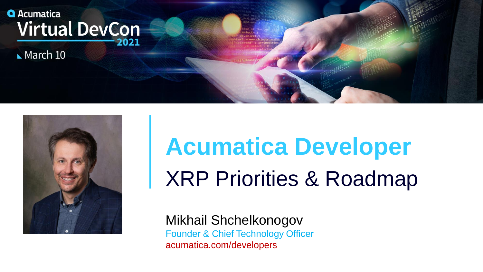# **Q** Acumatica **Virtual DevCon**

 $March$  10



# **Acumatica Developer** XRP Priorities & Roadmap

Mikhail Shchelkonogov Founder & Chief Technology Officer acumatica.com/developers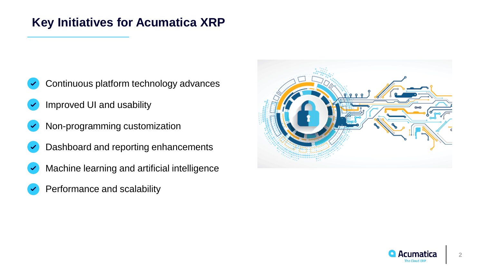#### **Key Initiatives for Acumatica XRP**

- Continuous platform technology advances
- Improved UI and usability
- Non-programming customization
- Dashboard and reporting enhancements
- Machine learning and artificial intelligence
- Performance and scalability



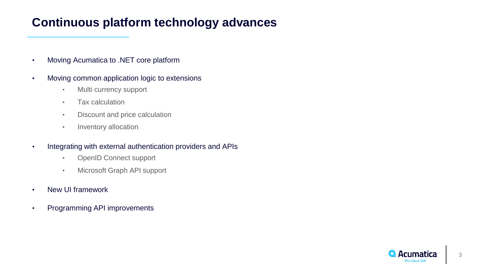#### **Continuous platform technology advances**

- Moving Acumatica to .NET core platform
- Moving common application logic to extensions
	- Multi currency support
	- Tax calculation
	- Discount and price calculation
	- Inventory allocation
- Integrating with external authentication providers and APIs
	- OpenID Connect support
	- Microsoft Graph API support
- New UI framework
- Programming API improvements

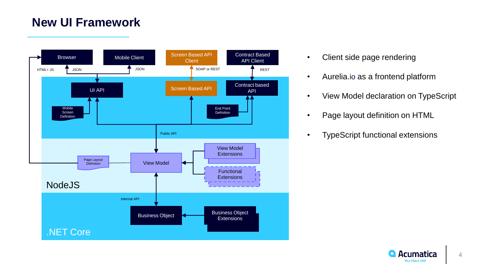#### **New UI Framework**



- Client side page rendering
- Aurelia.io as a frontend platform
- View Model declaration on TypeScript
- Page layout definition on HTML
- TypeScript functional extensions

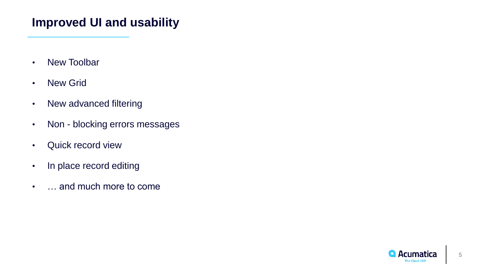#### **Improved UI and usability**

- New Toolbar
- New Grid
- New advanced filtering
- Non blocking errors messages
- Quick record view
- In place record editing
- … and much more to come

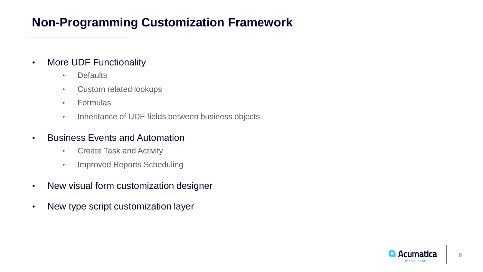## **Non-Programming Customization Framework**

- More UDF Functionality
	- Defaults
	- Custom related lookups
	- Formulas
	- Inheritance of UDF fields between business objects
- Business Events and Automation
	- Create Task and Activity
	- Improved Reports Scheduling
- New visual form customization designer
- New type script customization layer

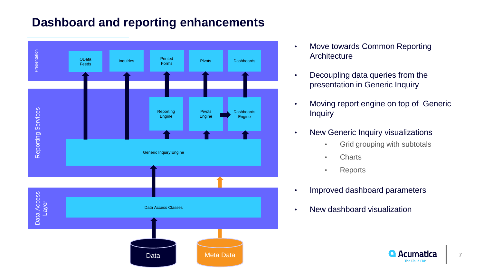## **Dashboard and reporting enhancements**



- Move towards Common Reporting **Architecture**
- Decoupling data queries from the presentation in Generic Inquiry
- Moving report engine on top of Generic **Inquiry**
- New Generic Inquiry visualizations
	- Grid grouping with subtotals
	- Charts
	- Reports
- Improved dashboard parameters
- New dashboard visualization



**7**